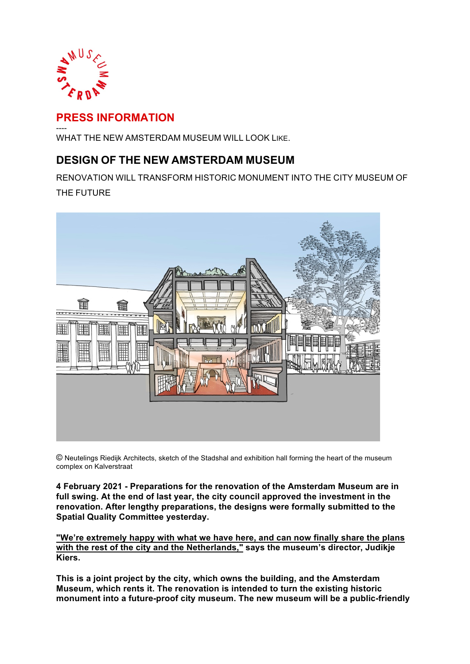

# **PRESS INFORMATION**

---- WHAT THE NEW AMSTERDAM MUSEUM WILL LOOK LIKE.

# **DESIGN OF THE NEW AMSTERDAM MUSEUM**

RENOVATION WILL TRANSFORM HISTORIC MONUMENT INTO THE CITY MUSEUM OF THE FUTURE



© Neutelings Riedijk Architects, sketch of the Stadshal and exhibition hall forming the heart of the museum complex on Kalverstraat

**4 February 2021 - Preparations for the renovation of the Amsterdam Museum are in full swing. At the end of last year, the city council approved the investment in the renovation. After lengthy preparations, the designs were formally submitted to the Spatial Quality Committee yesterday.** 

**"We're extremely happy with what we have here, and can now finally share the plans with the rest of the city and the Netherlands," says the museum's director, Judikje Kiers.**

**This is a joint project by the city, which owns the building, and the Amsterdam Museum, which rents it. The renovation is intended to turn the existing historic monument into a future-proof city museum. The new museum will be a public-friendly**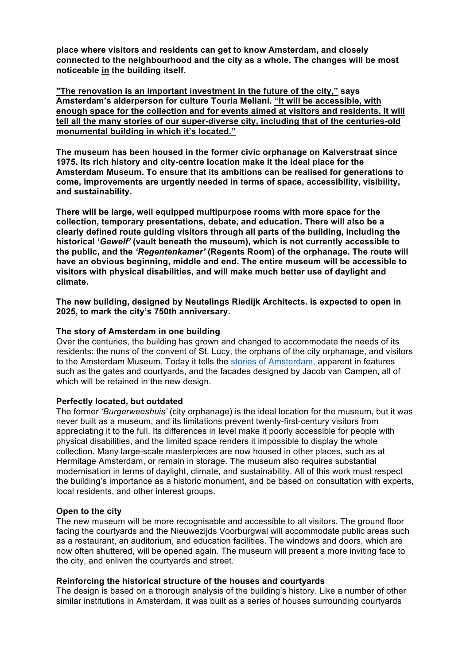**place where visitors and residents can get to know Amsterdam, and closely connected to the neighbourhood and the city as a whole. The changes will be most noticeable in the building itself.**

**"The renovation is an important investment in the future of the city," says Amsterdam's alderperson for culture Touria Meliani. "It will be accessible, with enough space for the collection and for events aimed at visitors and residents. It will tell all the many stories of our super-diverse city, including that of the centuries-old monumental building in which it's located."**

**The museum has been housed in the former civic orphanage on Kalverstraat since 1975. Its rich history and city-centre location make it the ideal place for the Amsterdam Museum. To ensure that its ambitions can be realised for generations to come, improvements are urgently needed in terms of space, accessibility, visibility, and sustainability.**

**There will be large, well equipped multipurpose rooms with more space for the collection, temporary presentations, debate, and education. There will also be a clearly defined route guiding visitors through all parts of the building, including the historical '***Gewelf'* **(vault beneath the museum), which is not currently accessible to the public, and the** *'Regentenkamer'* **(Regents Room) of the orphanage. The route will have an obvious beginning, middle and end. The entire museum will be accessible to visitors with physical disabilities, and will make much better use of daylight and climate.**

**The new building, designed by Neutelings Riedijk Architects. is expected to open in 2025, to mark the city's 750th anniversary.**

### **The story of Amsterdam in one building**

Over the centuries, the building has grown and changed to accommodate the needs of its residents: the nuns of the convent of St. Lucy, the orphans of the city orphanage, and visitors to the Amsterdam Museum. Today it tells the stories of Amsterdam, apparent in features such as the gates and courtyards, and the facades designed by Jacob van Campen, all of which will be retained in the new design.

# **Perfectly located, but outdated**

The former *'Burgerweeshuis'* (city orphanage) is the ideal location for the museum, but it was never built as a museum, and its limitations prevent twenty-first-century visitors from appreciating it to the full. Its differences in level make it poorly accessible for people with physical disabilities, and the limited space renders it impossible to display the whole collection. Many large-scale masterpieces are now housed in other places, such as at Hermitage Amsterdam, or remain in storage. The museum also requires substantial modernisation in terms of daylight, climate, and sustainability. All of this work must respect the building's importance as a historic monument, and be based on consultation with experts, local residents, and other interest groups.

# **Open to the city**

The new museum will be more recognisable and accessible to all visitors. The ground floor facing the courtyards and the Nieuwezijds Voorburgwal will accommodate public areas such as a restaurant, an auditorium, and education facilities. The windows and doors, which are now often shuttered, will be opened again. The museum will present a more inviting face to the city, and enliven the courtyards and street.

### **Reinforcing the historical structure of the houses and courtyards**

The design is based on a thorough analysis of the building's history. Like a number of other similar institutions in Amsterdam, it was built as a series of houses surrounding courtyards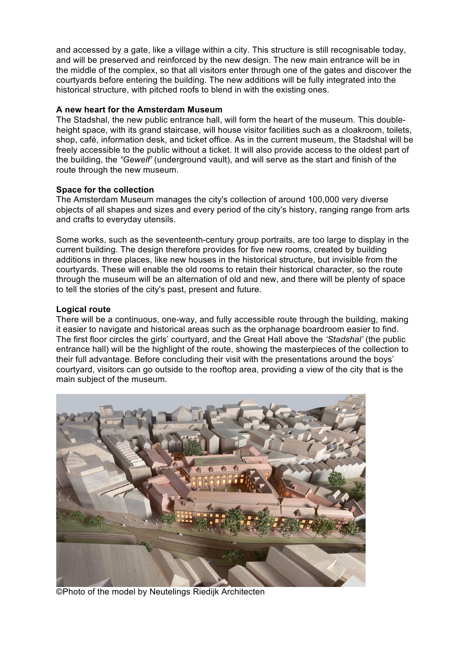and accessed by a gate, like a village within a city. This structure is still recognisable today, and will be preserved and reinforced by the new design. The new main entrance will be in the middle of the complex, so that all visitors enter through one of the gates and discover the courtyards before entering the building. The new additions will be fully integrated into the historical structure, with pitched roofs to blend in with the existing ones.

# **A new heart for the Amsterdam Museum**

The Stadshal, the new public entrance hall, will form the heart of the museum. This doubleheight space, with its grand staircase, will house visitor facilities such as a cloakroom, toilets, shop, café, information desk, and ticket office. As in the current museum, the Stadshal will be freely accessible to the public without a ticket. It will also provide access to the oldest part of the building, the *"Gewelf'* (underground vault), and will serve as the start and finish of the route through the new museum.

# **Space for the collection**

The Amsterdam Museum manages the city's collection of around 100,000 very diverse objects of all shapes and sizes and every period of the city's history, ranging range from arts and crafts to everyday utensils.

Some works, such as the seventeenth-century group portraits, are too large to display in the current building. The design therefore provides for five new rooms, created by building additions in three places, like new houses in the historical structure, but invisible from the courtyards. These will enable the old rooms to retain their historical character, so the route through the museum will be an alternation of old and new, and there will be plenty of space to tell the stories of the city's past, present and future.

# **Logical route**

There will be a continuous, one-way, and fully accessible route through the building, making it easier to navigate and historical areas such as the orphanage boardroom easier to find. The first floor circles the girls' courtyard, and the Great Hall above the *'Stadshal'* (the public entrance hall) will be the highlight of the route, showing the masterpieces of the collection to their full advantage. Before concluding their visit with the presentations around the boys' courtyard, visitors can go outside to the rooftop area, providing a view of the city that is the main subject of the museum.



©Photo of the model by Neutelings Riedijk Architecten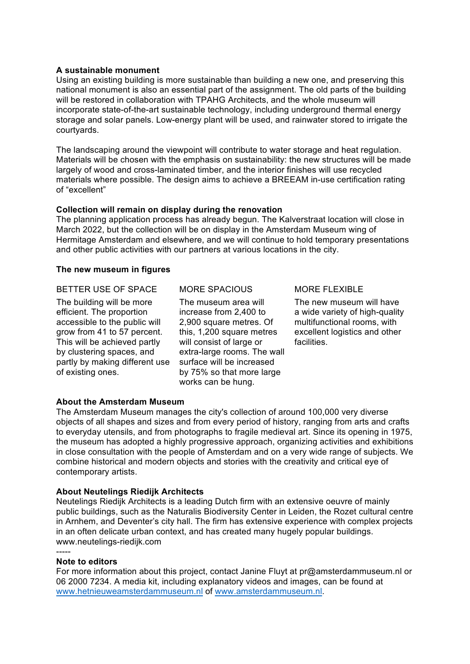### **A sustainable monument**

Using an existing building is more sustainable than building a new one, and preserving this national monument is also an essential part of the assignment. The old parts of the building will be restored in collaboration with TPAHG Architects, and the whole museum will incorporate state-of-the-art sustainable technology, including underground thermal energy storage and solar panels. Low-energy plant will be used, and rainwater stored to irrigate the courtyards.

The landscaping around the viewpoint will contribute to water storage and heat regulation. Materials will be chosen with the emphasis on sustainability: the new structures will be made largely of wood and cross-laminated timber, and the interior finishes will use recycled materials where possible. The design aims to achieve a BREEAM in-use certification rating of "excellent"

# **Collection will remain on display during the renovation**

The planning application process has already begun. The Kalverstraat location will close in March 2022, but the collection will be on display in the Amsterdam Museum wing of Hermitage Amsterdam and elsewhere, and we will continue to hold temporary presentations and other public activities with our partners at various locations in the city.

# **The new museum in figures**

# BETTER USE OF SPACE MORE SPACIOUS MORE FLEXIBLE

The building will be more efficient. The proportion accessible to the public will grow from 41 to 57 percent. This will be achieved partly by clustering spaces, and partly by making different use of existing ones.

The museum area will increase from 2,400 to 2,900 square metres. Of this, 1,200 square metres will consist of large or extra-large rooms. The wall surface will be increased by 75% so that more large works can be hung.

The new museum will have a wide variety of high-quality multifunctional rooms, with excellent logistics and other facilities.

# **About the Amsterdam Museum**

The Amsterdam Museum manages the city's collection of around 100,000 very diverse objects of all shapes and sizes and from every period of history, ranging from arts and crafts to everyday utensils, and from photographs to fragile medieval art. Since its opening in 1975, the museum has adopted a highly progressive approach, organizing activities and exhibitions in close consultation with the people of Amsterdam and on a very wide range of subjects. We combine historical and modern objects and stories with the creativity and critical eye of contemporary artists.

### **About Neutelings Riedijk Architects**

Neutelings Riedijk Architects is a leading Dutch firm with an extensive oeuvre of mainly public buildings, such as the Naturalis Biodiversity Center in Leiden, the Rozet cultural centre in Arnhem, and Deventer's city hall. The firm has extensive experience with complex projects in an often delicate urban context, and has created many hugely popular buildings. www.neutelings-riedijk.com

### **Note to editors**

-----

For more information about this project, contact Janine Fluyt at pr@amsterdammuseum.nl or 06 2000 7234. A media kit, including explanatory videos and images, can be found at www.hetnieuweamsterdammuseum.nl of www.amsterdammuseum.nl.